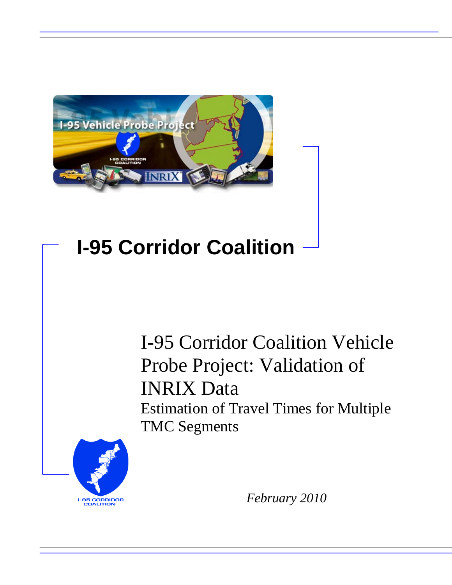

## **I-95 Corridor Coalition**

I-95 Corridor Coalition Vehicle Probe Project: Validation of INRIX Data Estimation of Travel Times for Multiple TMC Segments



*February 2010*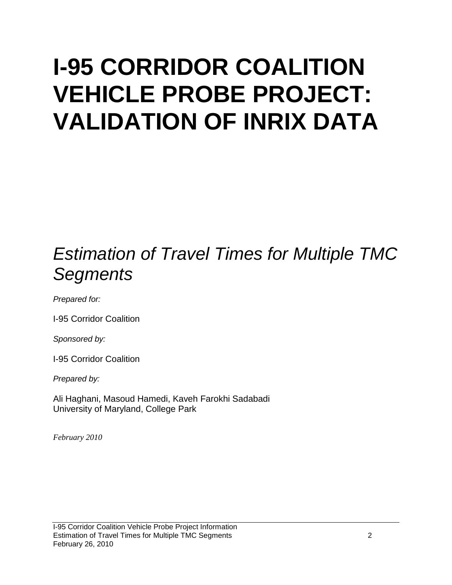# **I-95 CORRIDOR COALITION VEHICLE PROBE PROJECT: VALIDATION OF INRIX DATA**

### *Estimation of Travel Times for Multiple TMC Segments*

*Prepared for:*

I-95 Corridor Coalition

*Sponsored by:*

I-95 Corridor Coalition

*Prepared by:*

Ali Haghani, Masoud Hamedi, Kaveh Farokhi Sadabadi University of Maryland, College Park

*February 2010*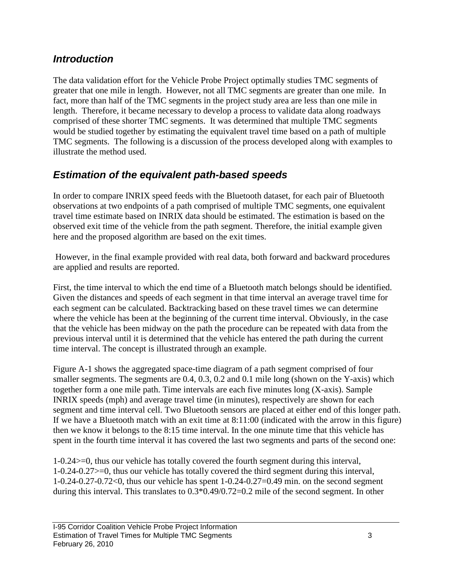#### *Introduction*

The data validation effort for the Vehicle Probe Project optimally studies TMC segments of greater that one mile in length. However, not all TMC segments are greater than one mile. In fact, more than half of the TMC segments in the project study area are less than one mile in length. Therefore, it became necessary to develop a process to validate data along roadways comprised of these shorter TMC segments. It was determined that multiple TMC segments would be studied together by estimating the equivalent travel time based on a path of multiple TMC segments. The following is a discussion of the process developed along with examples to illustrate the method used.

#### *Estimation of the equivalent path-based speeds*

In order to compare INRIX speed feeds with the Bluetooth dataset, for each pair of Bluetooth observations at two endpoints of a path comprised of multiple TMC segments, one equivalent travel time estimate based on INRIX data should be estimated. The estimation is based on the observed exit time of the vehicle from the path segment. Therefore, the initial example given here and the proposed algorithm are based on the exit times.

However, in the final example provided with real data, both forward and backward procedures are applied and results are reported.

First, the time interval to which the end time of a Bluetooth match belongs should be identified. Given the distances and speeds of each segment in that time interval an average travel time for each segment can be calculated. Backtracking based on these travel times we can determine where the vehicle has been at the beginning of the current time interval. Obviously, in the case that the vehicle has been midway on the path the procedure can be repeated with data from the previous interval until it is determined that the vehicle has entered the path during the current time interval. The concept is illustrated through an example.

Figure A-1 shows the aggregated space-time diagram of a path segment comprised of four smaller segments. The segments are 0.4, 0.3, 0.2 and 0.1 mile long (shown on the Y-axis) which together form a one mile path. Time intervals are each five minutes long (X-axis). Sample INRIX speeds (mph) and average travel time (in minutes), respectively are shown for each segment and time interval cell. Two Bluetooth sensors are placed at either end of this longer path. If we have a Bluetooth match with an exit time at 8:11:00 (indicated with the arrow in this figure) then we know it belongs to the 8:15 time interval. In the one minute time that this vehicle has spent in the fourth time interval it has covered the last two segments and parts of the second one:

1-0.24>=0, thus our vehicle has totally covered the fourth segment during this interval, 1-0.24-0.27>=0, thus our vehicle has totally covered the third segment during this interval, 1-0.24-0.27-0.72<0, thus our vehicle has spent 1-0.24-0.27=0.49 min. on the second segment during this interval. This translates to 0.3\*0.49/0.72=0.2 mile of the second segment. In other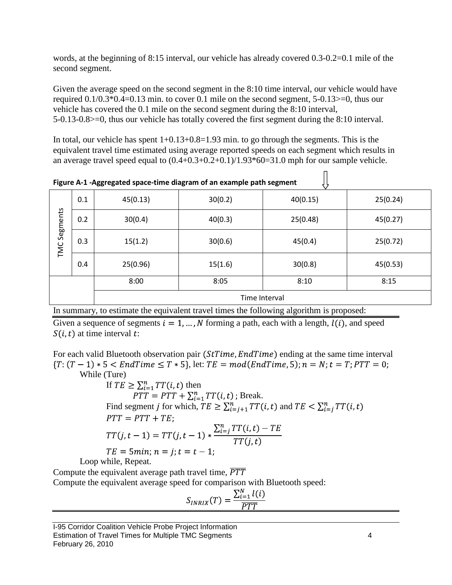words, at the beginning of 8:15 interval, our vehicle has already covered 0.3-0.2=0.1 mile of the second segment.

Given the average speed on the second segment in the 8:10 time interval, our vehicle would have required 0.1/0.3\*0.4=0.13 min. to cover 0.1 mile on the second segment, 5-0.13>=0, thus our vehicle has covered the 0.1 mile on the second segment during the 8:10 interval, 5-0.13-0.8>=0, thus our vehicle has totally covered the first segment during the 8:10 interval.

In total, our vehicle has spent  $1+0.13+0.8=1.93$  min. to go through the segments. This is the equivalent travel time estimated using average reported speeds on each segment which results in an average travel speed equal to  $(0.4+0.3+0.2+0.1)/1.93*60=31.0$  mph for our sample vehicle.

| Tigure A-1 -Aggregated space-time diagram or an example path segment |     |               |         |          |          |  |  |  |
|----------------------------------------------------------------------|-----|---------------|---------|----------|----------|--|--|--|
| Segments<br>TMC                                                      | 0.1 | 45(0.13)      | 30(0.2) | 40(0.15) | 25(0.24) |  |  |  |
|                                                                      | 0.2 | 30(0.4)       | 40(0.3) | 25(0.48) | 45(0.27) |  |  |  |
|                                                                      | 0.3 | 15(1.2)       | 30(0.6) | 45(0.4)  | 25(0.72) |  |  |  |
|                                                                      | 0.4 | 25(0.96)      | 15(1.6) | 30(0.8)  | 45(0.53) |  |  |  |
|                                                                      |     | 8:00          | 8:05    | 8:10     | 8:15     |  |  |  |
|                                                                      |     | Time Interval |         |          |          |  |  |  |

 $\mathop{\text{||}}$ 

**Figure A-1 -Aggregated space-time diagram of an example path segment**

In summary, to estimate the equivalent travel times the following algorithm is proposed:

Given a sequence of segments  $i = 1, ..., N$  forming a path, each with a length,  $l(i)$ , and speed  $S(i, t)$  at time interval t:

For each valid Bluetooth observation pair  $(StTime, EndTime)$  ending at the same time interval  ${T: (T-1)*5 < EndTime \le T*5}$ , let:  $TE = mod(EndTime, 5)$ ;  $n = N; t = T; PTT = 0$ ; While (Ture)

If  $TE \geq \sum_{i=1}^{n} TT(i, t)$  then Break. Find segment j for which,  $TE \ge \sum_{i=i+1}^{n} TT(i, t)$  and  $TE < \sum_{i=1}^{n} TT(i, t)$  $PTT = PTT + TE;$  $TT(j, t-1) = TT(j, t-1) * \frac{\sum_{i=j}^{n} TT(i, t) - TE}{TT(j, t)}$  $TE = 5min; n = j; t = t - 1;$ Loop while, Repeat.

Compute the equivalent average path travel time,  $\overline{PTT}$ Compute the equivalent average speed for comparison with Bluetooth speed:

$$
S_{INRIX}(T) = \frac{\sum_{i=1}^{N} l(i)}{\overline{PTT}}
$$

I-95 Corridor Coalition Vehicle Probe Project Information Estimation of Travel Times for Multiple TMC Segments 4 February 26, 2010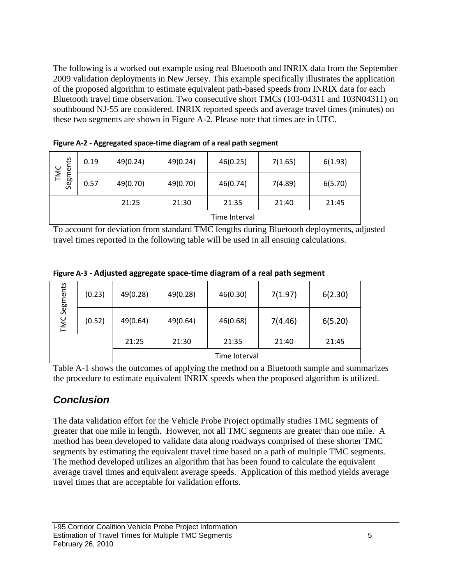The following is a worked out example using real Bluetooth and INRIX data from the September 2009 validation deployments in New Jersey. This example specifically illustrates the application of the proposed algorithm to estimate equivalent path-based speeds from INRIX data for each Bluetooth travel time observation. Two consecutive short TMCs (103-04311 and 103N04311) on southbound NJ-55 are considered. INRIX reported speeds and average travel times (minutes) on these two segments are shown in Figure A-2. Please note that times are in UTC.

| ents        | 0.19 | 49(0.24)      | 49(0.24) | 46(0.25) | 7(1.65) | 6(1.93) |  |  |
|-------------|------|---------------|----------|----------|---------|---------|--|--|
| TMC<br>Segm | 0.57 | 49(0.70)      | 49(0.70) | 46(0.74) | 7(4.89) | 6(5.70) |  |  |
|             |      | 21:25         | 21:30    | 21:35    | 21:40   | 21:45   |  |  |
|             |      | Time Interval |          |          |         |         |  |  |

**Figure A-2 - Aggregated space-time diagram of a real path segment**

To account for deviation from standard TMC lengths during Bluetooth deployments, adjusted travel times reported in the following table will be used in all ensuing calculations.

**Figure A-3 - Adjusted aggregate space-time diagram of a real path segment**

| Segments<br>TMC | (0.23) | 49(0.28)      | 49(0.28) | 46(0.30) | 7(1.97) | 6(2.30) |  |  |
|-----------------|--------|---------------|----------|----------|---------|---------|--|--|
|                 | (0.52) | 49(0.64)      | 49(0.64) | 46(0.68) | 7(4.46) | 6(5.20) |  |  |
|                 |        | 21:25         | 21:30    | 21:35    | 21:40   | 21:45   |  |  |
|                 |        | Time Interval |          |          |         |         |  |  |

Table A-1 shows the outcomes of applying the method on a Bluetooth sample and summarizes the procedure to estimate equivalent INRIX speeds when the proposed algorithm is utilized.

### *Conclusion*

The data validation effort for the Vehicle Probe Project optimally studies TMC segments of greater that one mile in length. However, not all TMC segments are greater than one mile. A method has been developed to validate data along roadways comprised of these shorter TMC segments by estimating the equivalent travel time based on a path of multiple TMC segments. The method developed utilizes an algorithm that has been found to calculate the equivalent average travel times and equivalent average speeds. Application of this method yields average travel times that are acceptable for validation efforts.